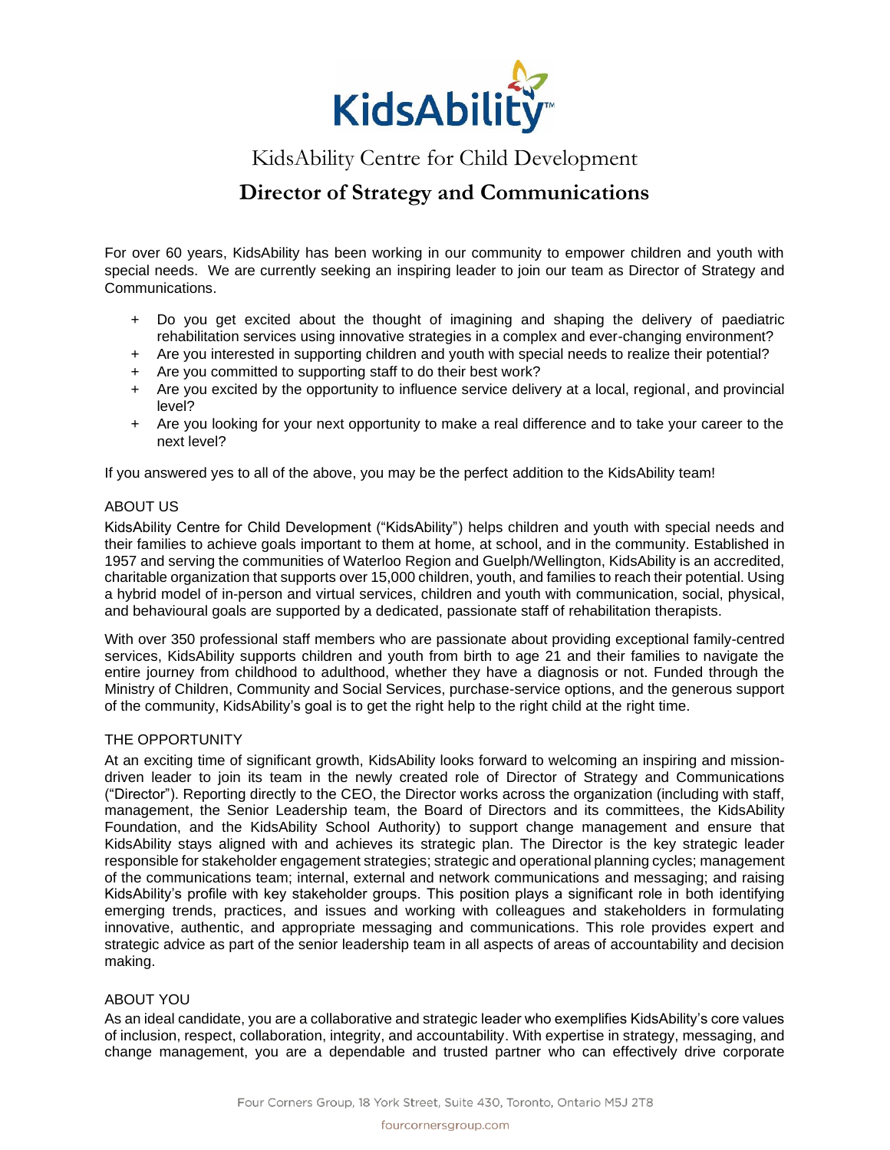

# KidsAbility Centre for Child Development

## **Director of Strategy and Communications**

For over 60 years, KidsAbility has been working in our community to empower children and youth with special needs. We are currently seeking an inspiring leader to join our team as Director of Strategy and Communications.

- + Do you get excited about the thought of imagining and shaping the delivery of paediatric rehabilitation services using innovative strategies in a complex and ever-changing environment?
- + Are you interested in supporting children and youth with special needs to realize their potential?
- + Are you committed to supporting staff to do their best work?
- + Are you excited by the opportunity to influence service delivery at a local, regional, and provincial level?
- + Are you looking for your next opportunity to make a real difference and to take your career to the next level?

If you answered yes to all of the above, you may be the perfect addition to the KidsAbility team!

#### ABOUT US

KidsAbility Centre for Child Development ("KidsAbility") helps children and youth with special needs and their families to achieve goals important to them at home, at school, and in the community. Established in 1957 and serving the communities of Waterloo Region and Guelph/Wellington, KidsAbility is an accredited, charitable organization that supports over 15,000 children, youth, and families to reach their potential. Using a hybrid model of in-person and virtual services, children and youth with communication, social, physical, and behavioural goals are supported by a dedicated, passionate staff of rehabilitation therapists.

With over 350 professional staff members who are passionate about providing exceptional family-centred services, KidsAbility supports children and youth from birth to age 21 and their families to navigate the entire journey from childhood to adulthood, whether they have a diagnosis or not. Funded through the Ministry of Children, Community and Social Services, purchase-service options, and the generous support of the community, KidsAbility's goal is to get the right help to the right child at the right time.

#### THE OPPORTUNITY

At an exciting time of significant growth, KidsAbility looks forward to welcoming an inspiring and missiondriven leader to join its team in the newly created role of Director of Strategy and Communications ("Director"). Reporting directly to the CEO, the Director works across the organization (including with staff, management, the Senior Leadership team, the Board of Directors and its committees, the KidsAbility Foundation, and the KidsAbility School Authority) to support change management and ensure that KidsAbility stays aligned with and achieves its strategic plan. The Director is the key strategic leader responsible for stakeholder engagement strategies; strategic and operational planning cycles; management of the communications team; internal, external and network communications and messaging; and raising KidsAbility's profile with key stakeholder groups. This position plays a significant role in both identifying emerging trends, practices, and issues and working with colleagues and stakeholders in formulating innovative, authentic, and appropriate messaging and communications. This role provides expert and strategic advice as part of the senior leadership team in all aspects of areas of accountability and decision making.

### ABOUT YOU

As an ideal candidate, you are a collaborative and strategic leader who exemplifies KidsAbility's core values of inclusion, respect, collaboration, integrity, and accountability. With expertise in strategy, messaging, and change management, you are a dependable and trusted partner who can effectively drive corporate